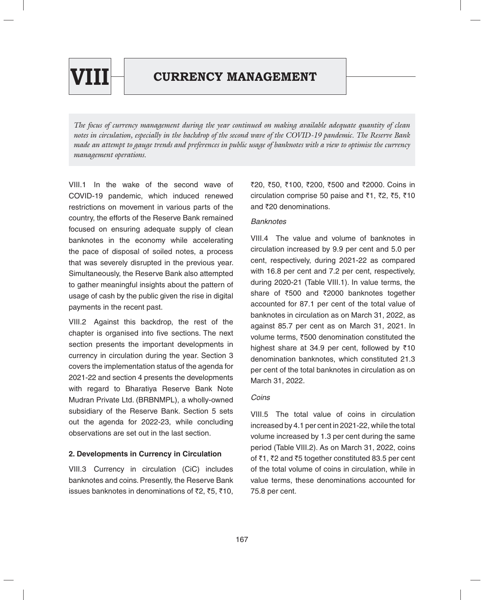

*The focus of currency management during the year continued on making available adequate quantity of clean notes in circulation, especially in the backdrop of the second wave of the COVID-19 pandemic. The Reserve Bank made an attempt to gauge trends and preferences in public usage of banknotes with a view to optimise the currency management operations.*

VIII.1 In the wake of the second wave of COVID-19 pandemic, which induced renewed restrictions on movement in various parts of the country, the efforts of the Reserve Bank remained focused on ensuring adequate supply of clean banknotes in the economy while accelerating the pace of disposal of soiled notes, a process that was severely disrupted in the previous year. Simultaneously, the Reserve Bank also attempted to gather meaningful insights about the pattern of usage of cash by the public given the rise in digital payments in the recent past.

VIII.2 Against this backdrop, the rest of the chapter is organised into five sections. The next section presents the important developments in currency in circulation during the year. Section 3 covers the implementation status of the agenda for 2021-22 and section 4 presents the developments with regard to Bharatiya Reserve Bank Note Mudran Private Ltd. (BRBNMPL), a wholly-owned subsidiary of the Reserve Bank. Section 5 sets out the agenda for 2022-23, while concluding observations are set out in the last section.

# **2. Developments in Currency in Circulation**

VIII.3 Currency in circulation (CiC) includes banknotes and coins. Presently, the Reserve Bank issues banknotes in denominations of ₹2, ₹5, ₹10,

₹20, ₹50, ₹100, ₹200, ₹500 and ₹2000. Coins in circulation comprise 50 paise and  $\overline{51}$ ,  $\overline{52}$ ,  $\overline{55}$ ,  $\overline{510}$ and  $\bar{z}$ 20 denominations.

#### *Banknotes*

VIII.4 The value and volume of banknotes in circulation increased by 9.9 per cent and 5.0 per cent, respectively, during 2021-22 as compared with 16.8 per cent and 7.2 per cent, respectively, during 2020-21 (Table VIII.1). In value terms, the share of  $\overline{500}$  and  $\overline{2000}$  banknotes together accounted for 87.1 per cent of the total value of banknotes in circulation as on March 31, 2022, as against 85.7 per cent as on March 31, 2021. In volume terms,  $\overline{500}$  denomination constituted the highest share at 34.9 per cent, followed by  $\bar{z}10$ denomination banknotes, which constituted 21.3 per cent of the total banknotes in circulation as on March 31, 2022.

# *Coins*

VIII.5 The total value of coins in circulation increased by 4.1 per cent in 2021-22, while the total volume increased by 1.3 per cent during the same period (Table VIII.2). As on March 31, 2022, coins of  $\bar{c}1$ ,  $\bar{c}2$  and  $\bar{c}5$  together constituted 83.5 per cent of the total volume of coins in circulation, while in value terms, these denominations accounted for 75.8 per cent.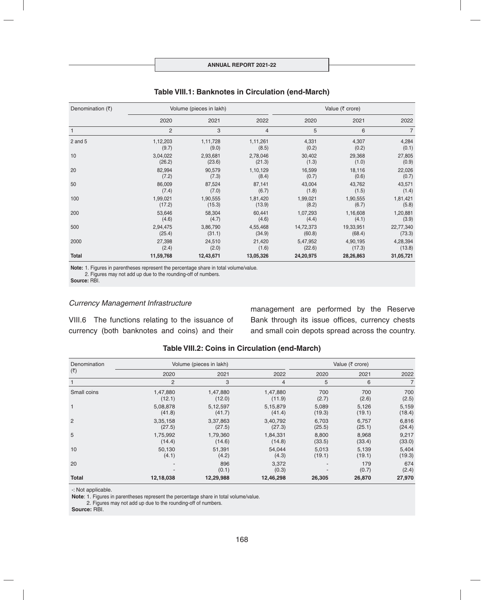| Denomination $(3)$ |                | Volume (pieces in lakh) |           | Value ( $\bar{\tau}$ crore) |           |                |
|--------------------|----------------|-------------------------|-----------|-----------------------------|-----------|----------------|
|                    | 2020           | 2021                    | 2022      | 2020                        | 2021      | 2022           |
|                    | $\overline{c}$ | 3                       | 4         | 5                           | 6         | $\overline{7}$ |
| $2$ and $5$        | 1,12,203       | 1,11,728                | 1,11,261  | 4,331                       | 4,307     | 4,284          |
|                    | (9.7)          | (9.0)                   | (8.5)     | (0.2)                       | (0.2)     | (0.1)          |
| 10                 | 3,04,022       | 2,93,681                | 2,78,046  | 30,402                      | 29,368    | 27,805         |
|                    | (26.2)         | (23.6)                  | (21.3)    | (1.3)                       | (1.0)     | (0.9)          |
| 20                 | 82,994         | 90,579                  | 1,10,129  | 16,599                      | 18,116    | 22,026         |
|                    | (7.2)          | (7.3)                   | (8.4)     | (0.7)                       | (0.6)     | (0.7)          |
| 50                 | 86,009         | 87,524                  | 87,141    | 43,004                      | 43,762    | 43,571         |
|                    | (7.4)          | (7.0)                   | (6.7)     | (1.8)                       | (1.5)     | (1.4)          |
| 100                | 1,99,021       | 1,90,555                | 1,81,420  | 1,99,021                    | 1,90,555  | 1,81,421       |
|                    | (17.2)         | (15.3)                  | (13.9)    | (8.2)                       | (6.7)     | (5.8)          |
| 200                | 53,646         | 58,304                  | 60,441    | 1,07,293                    | 1,16,608  | 1,20,881       |
|                    | (4.6)          | (4.7)                   | (4.6)     | (4.4)                       | (4.1)     | (3.9)          |
| 500                | 2,94,475       | 3,86,790                | 4,55,468  | 14,72,373                   | 19,33,951 | 22,77,340      |
|                    | (25.4)         | (31.1)                  | (34.9)    | (60.8)                      | (68.4)    | (73.3)         |
| 2000               | 27,398         | 24,510                  | 21,420    | 5,47,952                    | 4,90,195  | 4,28,394       |
|                    | (2.4)          | (2.0)                   | (1.6)     | (22.6)                      | (17.3)    | (13.8)         |
| <b>Total</b>       | 11,59,768      | 12,43,671               | 13,05,326 | 24,20,975                   | 28,26,863 | 31,05,721      |

### **Table VIII.1: Banknotes in Circulation (end-March)**

**Note:** 1. Figures in parentheses represent the percentage share in total volume/value. 2. Figures may not add up due to the rounding-off of numbers.

**Source:** RBI.

#### *Currency Management Infrastructure*

VIII.6 The functions relating to the issuance of currency (both banknotes and coins) and their management are performed by the Reserve Bank through its issue offices, currency chests and small coin depots spread across the country.

| Denomination   | Volume (pieces in lakh) |              | Value (₹ crore) |        |              |                |
|----------------|-------------------------|--------------|-----------------|--------|--------------|----------------|
| (₹)            | 2020                    | 2021         | 2022            | 2020   | 2021         | 2022           |
|                | $\overline{c}$          | 3            | 4               | 5      | 6            | $\overline{7}$ |
| Small coins    | 1,47,880                | 1,47,880     | 1,47,880        | 700    | 700          | 700            |
|                | (12.1)                  | (12.0)       | (11.9)          | (2.7)  | (2.6)        | (2.5)          |
| $\mathbf{1}$   | 5,08,878                | 5,12,597     | 5,15,879        | 5,089  | 5,126        | 5,159          |
|                | (41.8)                  | (41.7)       | (41.4)          | (19.3) | (19.1)       | (18.4)         |
| $\overline{2}$ | 3,35,158                | 3,37,863     | 3,40,792        | 6,703  | 6,757        | 6,816          |
|                | (27.5)                  | (27.5)       | (27.3)          | (25.5) | (25.1)       | (24.4)         |
| 5              | 1,75,992                | 1,79,360     | 1,84,331        | 8,800  | 8,968        | 9,217          |
|                | (14.4)                  | (14.6)       | (14.8)          | (33.5) | (33.4)       | (33.0)         |
| 10             | 50,130                  | 51,391       | 54.044          | 5.013  | 5,139        | 5,404          |
|                | (4.1)                   | (4.2)        | (4.3)           | (19.1) | (19.1)       | (19.3)         |
| 20             |                         | 896<br>(0.1) | 3,372<br>(0.3)  |        | 179<br>(0.7) | 674<br>(2.4)   |
| <b>Total</b>   | 12,18,038               | 12,29,988    | 12,46,298       | 26,305 | 26,870       | 27,970         |

### **Table VIII.2: Coins in Circulation (end-March)**

-: Not applicable.

**Note**: 1. Figures in parentheses represent the percentage share in total volume/value.

2. Figures may not add up due to the rounding-off of numbers.

**Source:** RBI.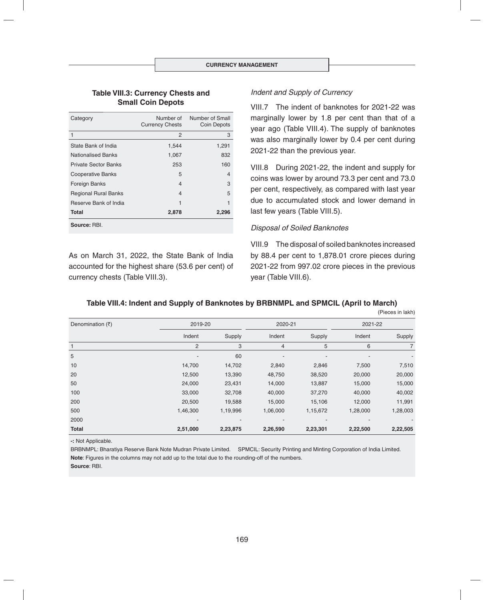#### **Table VIII.3: Currency Chests and Small Coin Depots**

| Category                    | Number of<br><b>Currency Chests</b> | Number of Small<br>Coin Depots |
|-----------------------------|-------------------------------------|--------------------------------|
| 1                           | 2                                   | 3                              |
| State Bank of India         | 1,544                               | 1,291                          |
| <b>Nationalised Banks</b>   | 1,067                               | 832                            |
| <b>Private Sector Banks</b> | 253                                 | 160                            |
| <b>Cooperative Banks</b>    | 5                                   | $\overline{4}$                 |
| Foreign Banks               | 4                                   | 3                              |
| <b>Regional Rural Banks</b> | 4                                   | 5                              |
| Reserve Bank of India       | 1                                   | 1                              |
| Total                       | 2,878                               | 2,296                          |
| Source: RBI.                |                                     |                                |

As on March 31, 2022, the State Bank of India accounted for the highest share (53.6 per cent) of currency chests (Table VIII.3).

### *Indent and Supply of Currency*

VIII.7 The indent of banknotes for 2021-22 was marginally lower by 1.8 per cent than that of a year ago (Table VIII.4). The supply of banknotes was also marginally lower by 0.4 per cent during 2021-22 than the previous year.

VIII.8 During 2021-22, the indent and supply for coins was lower by around 73.3 per cent and 73.0 per cent, respectively, as compared with last year due to accumulated stock and lower demand in last few years (Table VIII.5).

#### *Disposal of Soiled Banknotes*

VIII.9 The disposal of soiled banknotes increased by 88.4 per cent to 1,878.01 crore pieces during 2021-22 from 997.02 crore pieces in the previous year (Table VIII.6).

### **Table VIII.4: Indent and Supply of Banknotes by BRBNMPL and SPMCIL (April to March)**

(Pieces in lakh)  $Denominator (\xi)$  2019-20 2019-20 2020-21 2020-21 2021-22 Indent Supply Indent Supply Indent Supply 1 and the contract of  $2$  and  $3$  and  $4$  and  $5$  and  $6$  and  $7$ 5 - 60 - - - - 10 14,700 14,702 2,840 2,846 7,500 7,510 20 12,500 13,390 48,750 38,520 20,000 20,000 50 24,000 23,431 14,000 13,887 15,000 15,000 100 33,000 32,708 40,000 37,270 40,000 40,002 200 20,500 19,588 15,000 15,106 12,000 11,991 500 1,46,300 1,19,996 1,06,000 1,15,672 1,28,000 1,28,003 2000 - - - - - - **Total 2,51,000 2,23,875 2,26,590 2,23,301 2,22,500 2,22,505**

**-:** Not Applicable.

BRBNMPL: Bharatiya Reserve Bank Note Mudran Private Limited. SPMCIL: Security Printing and Minting Corporation of India Limited. **Note**: Figures in the columns may not add up to the total due to the rounding-off of the numbers. **Source**: RBI.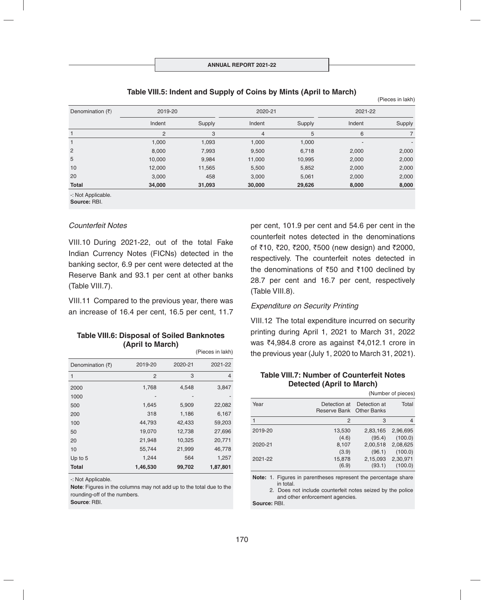| Denomination $(3)$ | 2019-20        |        |        | 2020-21 |                          | 2021-22 |  |
|--------------------|----------------|--------|--------|---------|--------------------------|---------|--|
|                    | Indent         | Supply | Indent | Supply  | Indent                   | Supply  |  |
|                    | $\overline{2}$ | 3      | 4      | 5       | 6                        |         |  |
|                    | 1,000          | 1,093  | 1,000  | 1,000   | $\overline{\phantom{a}}$ | ٠       |  |
| 2                  | 8,000          | 7,993  | 9,500  | 6,718   | 2,000                    | 2,000   |  |
| 5                  | 10,000         | 9,984  | 11,000 | 10,995  | 2,000                    | 2,000   |  |
| 10                 | 12,000         | 11,565 | 5,500  | 5,852   | 2,000                    | 2,000   |  |
| 20                 | 3,000          | 458    | 3,000  | 5,061   | 2,000                    | 2,000   |  |
| Total              | 34,000         | 31,093 | 30,000 | 29,626  | 8,000                    | 8,000   |  |

#### **Table VIII.5: Indent and Supply of Coins by Mints (April to March)**

-: Not Applicable.

**Source:** RBI.

#### *Counterfeit Notes*

VIII.10 During 2021-22, out of the total Fake Indian Currency Notes (FICNs) detected in the banking sector, 6.9 per cent were detected at the Reserve Bank and 93.1 per cent at other banks (Table VIII.7).

VIII.11 Compared to the previous year, there was an increase of 16.4 per cent, 16.5 per cent, 11.7

#### **Table VIII.6: Disposal of Soiled Banknotes (April to March)** (Pieces in lakh)

|                  |          |         | $\mu$ icces in ianii |
|------------------|----------|---------|----------------------|
| Denomination (₹) | 2019-20  | 2020-21 | 2021-22              |
| 1                | 2        | 3       | $\overline{4}$       |
| 2000             | 1,768    | 4,548   | 3,847                |
| 1000             |          |         |                      |
| 500              | 1,645    | 5,909   | 22,082               |
| 200              | 318      | 1,186   | 6,167                |
| 100              | 44,793   | 42,433  | 59,203               |
| 50               | 19,070   | 12,738  | 27,696               |
| 20               | 21,948   | 10,325  | 20,771               |
| 10               | 55,744   | 21,999  | 46,778               |
| Up to 5          | 1,244    | 564     | 1,257                |
| <b>Total</b>     | 1,46,530 | 99,702  | 1,87,801             |

-: Not Applicable.

**Note**: Figures in the columns may not add up to the total due to the rounding-off of the numbers.

**Source**: RBI.

per cent, 101.9 per cent and 54.6 per cent in the counterfeit notes detected in the denominations of ₹10, ₹20, ₹200, ₹500 (new design) and ₹2000, respectively. The counterfeit notes detected in the denominations of  $\overline{50}$  and  $\overline{5100}$  declined by 28.7 per cent and 16.7 per cent, respectively (Table VIII.8).

(Pieces in lakh)

### *Expenditure on Security Printing*

VIII.12 The total expenditure incurred on security printing during April 1, 2021 to March 31, 2022 was  $\bar{z}$ 4,984.8 crore as against  $\bar{z}$ 4,012.1 crore in the previous year (July 1, 2020 to March 31, 2021).

### **Table VIII.7: Number of Counterfeit Notes Detected (April to March)**

|         |                                          |                    | (Number of pieces)  |
|---------|------------------------------------------|--------------------|---------------------|
| Year    | Detection at<br>Reserve Bank Other Banks | Detection at       | Total               |
|         | 2                                        | 3                  |                     |
| 2019-20 | 13,530                                   | 2,83,165           | 2,96,695            |
| 2020-21 | (4.6)<br>8,107                           | (95.4)<br>2,00,518 | (100.0)<br>2,08,625 |
|         | (3.9)                                    | (96.1)             | (100.0)             |
| 2021-22 | 15,878<br>(6.9)                          | 2,15,093<br>(93.1) | 2,30,971<br>(100.0) |

**Note:** 1. Figures in parentheses represent the percentage share in total.

 2. Does not include counterfeit notes seized by the police and other enforcement agencies.

**Source:** RBI.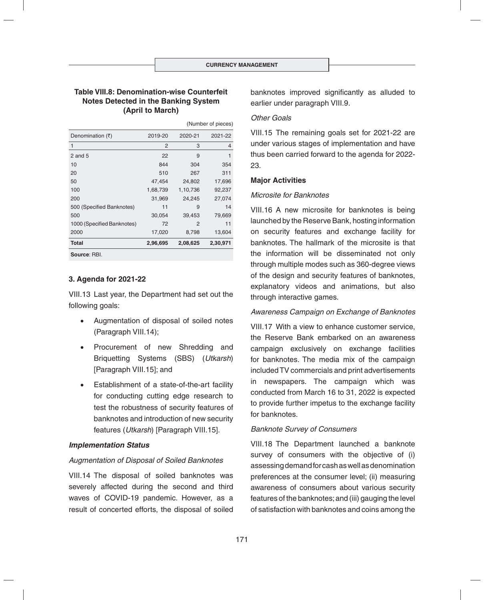# **Table VIII.8: Denomination-wise Counterfeit Notes Detected in the Banking System (April to March)**

|                            |          |          | (Number of pieces) |  |
|----------------------------|----------|----------|--------------------|--|
| Denomination (₹)           | 2019-20  | 2020-21  | 2021-22            |  |
| 1                          | 2        | 3        | 4                  |  |
| 2 and $5$                  | 22       | 9        | 1                  |  |
| 10                         | 844      | 304      | 354                |  |
| 20                         | 510      | 267      | 311                |  |
| 50                         | 47,454   | 24,802   | 17,696             |  |
| 100                        | 1,68,739 | 1,10,736 | 92,237             |  |
| 200                        | 31,969   | 24,245   | 27,074             |  |
| 500 (Specified Banknotes)  | 11       | 9        | 14                 |  |
| 500                        | 30,054   | 39,453   | 79,669             |  |
| 1000 (Specified Banknotes) | 72       | 2        | 11                 |  |
| 2000                       | 17,020   | 8,798    | 13,604             |  |
| <b>Total</b>               | 2,96,695 | 2,08,625 | 2,30,971           |  |
| Source: RBI.               |          |          |                    |  |

# **3. Agenda for 2021-22**

VIII.13 Last year, the Department had set out the following goals:

- Augmentation of disposal of soiled notes (Paragraph VIII.14);
- Procurement of new Shredding and Briquetting Systems (SBS) (*Utkarsh*) [Paragraph VIII.15]; and
- Establishment of a state-of-the-art facility for conducting cutting edge research to test the robustness of security features of banknotes and introduction of new security features (*Utkarsh*) [Paragraph VIII.15].

### *Implementation Status*

### *Augmentation of Disposal of Soiled Banknotes*

VIII.14 The disposal of soiled banknotes was severely affected during the second and third waves of COVID-19 pandemic. However, as a result of concerted efforts, the disposal of soiled

banknotes improved significantly as alluded to earlier under paragraph VIII.9.

### *Other Goals*

VIII.15 The remaining goals set for 2021-22 are under various stages of implementation and have thus been carried forward to the agenda for 2022- 23.

### **Major Activities**

### *Microsite for Banknotes*

VIII.16 A new microsite for banknotes is being launched by the Reserve Bank, hosting information on security features and exchange facility for banknotes. The hallmark of the microsite is that the information will be disseminated not only through multiple modes such as 360-degree views of the design and security features of banknotes, explanatory videos and animations, but also through interactive games.

### *Awareness Campaign on Exchange of Banknotes*

VIII.17 With a view to enhance customer service, the Reserve Bank embarked on an awareness campaign exclusively on exchange facilities for banknotes. The media mix of the campaign included TV commercials and print advertisements in newspapers. The campaign which was conducted from March 16 to 31, 2022 is expected to provide further impetus to the exchange facility for banknotes.

### *Banknote Survey of Consumers*

VIII.18 The Department launched a banknote survey of consumers with the objective of (i) assessing demand for cash as well as denomination preferences at the consumer level; (ii) measuring awareness of consumers about various security features of the banknotes; and (iii) gauging the level of satisfaction with banknotes and coins among the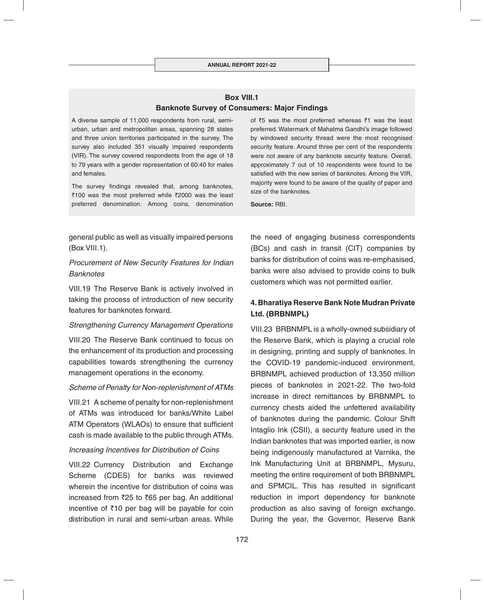# **Box VIII.1 Banknote Survey of Consumers: Major Findings**

A diverse sample of 11,000 respondents from rural, semiurban, urban and metropolitan areas, spanning 28 states and three union territories participated in the survey. The survey also included 351 visually impaired respondents (VIR). The survey covered respondents from the age of 18 to 79 years with a gender representation of 60:40 for males and females.

The survey findings revealed that, among banknotes,  $\overline{\tau}$ 100 was the most preferred while  $\overline{\tau}$ 2000 was the least preferred denomination. Among coins, denomination

of  $\overline{5}5$  was the most preferred whereas  $\overline{5}1$  was the least preferred. Watermark of Mahatma Gandhi's image followed by windowed security thread were the most recognised security feature. Around three per cent of the respondents were not aware of any banknote security feature. Overall, approximately 7 out of 10 respondents were found to be satisfied with the new series of banknotes. Among the VIR, majority were found to be aware of the quality of paper and size of the banknotes.

**Source:** RBI.

general public as well as visually impaired persons (Box VIII.1).

# *Procurement of New Security Features for Indian Banknotes*

VIII.19 The Reserve Bank is actively involved in taking the process of introduction of new security features for banknotes forward.

# *Strengthening Currency Management Operations*

VIII.20 The Reserve Bank continued to focus on the enhancement of its production and processing capabilities towards strengthening the currency management operations in the economy.

# *Scheme of Penalty for Non-replenishment of ATMs*

VIII.21 A scheme of penalty for non-replenishment of ATMs was introduced for banks/White Label ATM Operators (WLAOs) to ensure that sufficient cash is made available to the public through ATMs.

# *Increasing Incentives for Distribution of Coins*

VIII.22 Currency Distribution and Exchange Scheme (CDES) for banks was reviewed wherein the incentive for distribution of coins was increased from  $\overline{25}$  to  $\overline{65}$  per bag. An additional incentive of  $\bar{z}$ 10 per bag will be payable for coin distribution in rural and semi-urban areas. While

the need of engaging business correspondents (BCs) and cash in transit (CIT) companies by banks for distribution of coins was re-emphasised, banks were also advised to provide coins to bulk customers which was not permitted earlier.

# **4. Bha ratiya Reserve Bank Note Mudran Private Ltd. (BRBNMPL)**

VIII.23 BRBNMPL is a wholly-owned subsidiary of the Reserve Bank, which is playing a crucial role in designing, printing and supply of banknotes. In the COVID-19 pandemic-induced environment, BRBNMPL achieved production of 13,350 million pieces of banknotes in 2021-22. The two-fold increase in direct remittances by BRBNMPL to currency chests aided the unfettered availability of banknotes during the pandemic. Colour Shift Intaglio Ink (CSII), a security feature used in the Indian banknotes that was imported earlier, is now being indigenously manufactured at Varnika, the Ink Manufacturing Unit at BRBNMPL, Mysuru, meeting the entire requirement of both BRBNMPL and SPMCIL. This has resulted in significant reduction in import dependency for banknote production as also saving of foreign exchange. During the year, the Governor, Reserve Bank